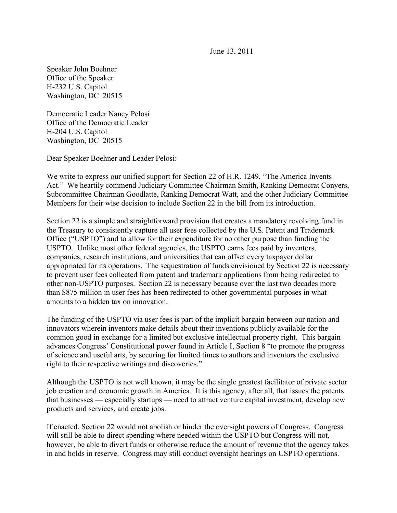June 13, 2011

Speaker John Boehner Office of the Speaker H-232 U.S. Capitol Washington, DC 20515

Democratic Leader Nancy Pelosi Office of the Democratic Leader H-204 U.S. Capitol Washington, DC 20515

Dear Speaker Boehner and Leader Pelosi:

We write to express our unified support for Section 22 of H.R. 1249, "The America Invents Act." We heartily commend Judiciary Committee Chairman Smith, Ranking Democrat Conyers, Subcommittee Chairman Goodlatte, Ranking Democrat Watt, and the other Judiciary Committee Members for their wise decision to include Section 22 in the bill from its introduction.

Section 22 is a simple and straightforward provision that creates a mandatory revolving fund in the Treasury to consistently capture all user fees collected by the U.S. Patent and Trademark Office ("USPTO") and to allow for their expenditure for no other purpose than funding the USPTO. Unlike most other federal agencies, the USPTO earns fees paid by inventors, companies, research institutions, and universities that can offset every taxpayer dollar appropriated for its operations. The sequestration of funds envisioned by Section 22 is necessary to prevent user fees collected from patent and trademark applications from being redirected to other non-USPTO purposes. Section 22 is necessary because over the last two decades more than \$875 million in user fees has been redirected to other governmental purposes in what amounts to a hidden tax on innovation.

The funding of the USPTO via user fees is part of the implicit bargain between our nation and innovators wherein inventors make details about their inventions publicly available for the common good in exchange for a limited but exclusive intellectual property right. This bargain advances Congress' Constitutional power found in Article I, Section 8 "to promote the progress of science and useful arts, by securing for limited times to authors and inventors the exclusive right to their respective writings and discoveries."

Although the USPTO is not well known, it may be the single greatest facilitator of private sector job creation and economic growth in America. It is this agency, after all, that issues the patents that businesses — especially startups — need to attract venture capital investment, develop new products and services, and create jobs.

If enacted, Section 22 would not abolish or hinder the oversight powers of Congress. Congress will still be able to direct spending where needed within the USPTO but Congress will not, however, be able to divert funds or otherwise reduce the amount of revenue that the agency takes in and holds in reserve. Congress may still conduct oversight hearings on USPTO operations.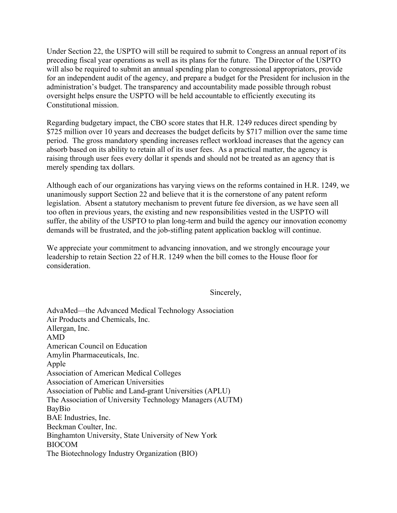Under Section 22, the USPTO will still be required to submit to Congress an annual report of its preceding fiscal year operations as well as its plans for the future. The Director of the USPTO will also be required to submit an annual spending plan to congressional appropriators, provide for an independent audit of the agency, and prepare a budget for the President for inclusion in the administration's budget. The transparency and accountability made possible through robust oversight helps ensure the USPTO will be held accountable to efficiently executing its Constitutional mission.

Regarding budgetary impact, the CBO score states that H.R. 1249 reduces direct spending by \$725 million over 10 years and decreases the budget deficits by \$717 million over the same time period. The gross mandatory spending increases reflect workload increases that the agency can absorb based on its ability to retain all of its user fees. As a practical matter, the agency is raising through user fees every dollar it spends and should not be treated as an agency that is merely spending tax dollars.

Although each of our organizations has varying views on the reforms contained in H.R. 1249, we unanimously support Section 22 and believe that it is the cornerstone of any patent reform legislation. Absent a statutory mechanism to prevent future fee diversion, as we have seen all too often in previous years, the existing and new responsibilities vested in the USPTO will suffer, the ability of the USPTO to plan long-term and build the agency our innovation economy demands will be frustrated, and the job-stifling patent application backlog will continue.

We appreciate your commitment to advancing innovation, and we strongly encourage your leadership to retain Section 22 of H.R. 1249 when the bill comes to the House floor for consideration.

## Sincerely,

AdvaMed—the Advanced Medical Technology Association Air Products and Chemicals, Inc. Allergan, Inc. AMD American Council on Education Amylin Pharmaceuticals, Inc. Apple Association of American Medical Colleges Association of American Universities Association of Public and Land-grant Universities (APLU) The Association of University Technology Managers (AUTM) BayBio BAE Industries, Inc. Beckman Coulter, Inc. Binghamton University, State University of New York BIOCOM The Biotechnology Industry Organization (BIO)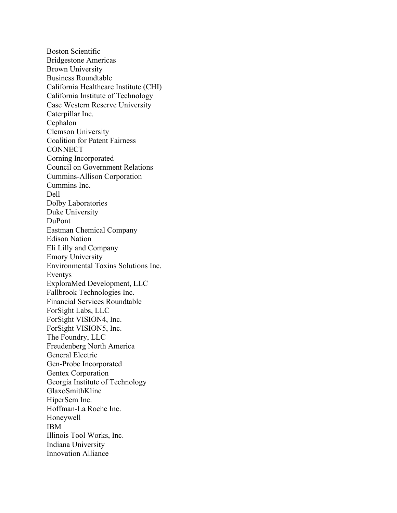Boston Scientific Bridgestone Americas Brown University Business Roundtable California Healthcare Institute (CHI) California Institute of Technology Case Western Reserve University Caterpillar Inc. Cephalon Clemson University Coalition for Patent Fairness **CONNECT** Corning Incorporated Council on Government Relations Cummins-Allison Corporation Cummins Inc. Dell Dolby Laboratories Duke University DuPont Eastman Chemical Company Edison Nation Eli Lilly and Company Emory University Environmental Toxins Solutions Inc. Eventys ExploraMed Development, LLC Fallbrook Technologies Inc. Financial Services Roundtable ForSight Labs, LLC ForSight VISION4, Inc. ForSight VISION5, Inc. The Foundry, LLC Freudenberg North America General Electric Gen-Probe Incorporated Gentex Corporation Georgia Institute of Technology GlaxoSmithKline HiperSem Inc. Hoffman-La Roche Inc. Honeywell IBM Illinois Tool Works, Inc. Indiana University Innovation Alliance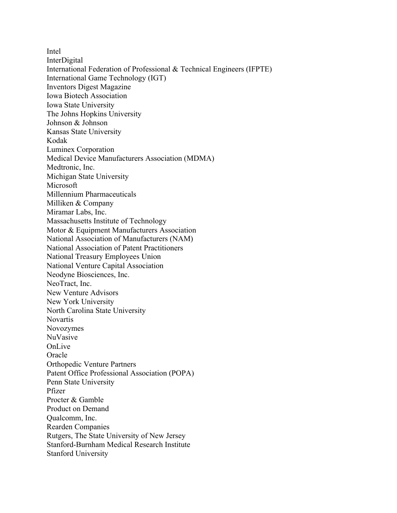Intel InterDigital International Federation of Professional & Technical Engineers (IFPTE) International Game Technology (IGT) Inventors Digest Magazine Iowa Biotech Association Iowa State University The Johns Hopkins University Johnson & Johnson Kansas State University Kodak Luminex Corporation Medical Device Manufacturers Association (MDMA) Medtronic, Inc. Michigan State University Microsoft Millennium Pharmaceuticals Milliken & Company Miramar Labs, Inc. Massachusetts Institute of Technology Motor & Equipment Manufacturers Association National Association of Manufacturers (NAM) National Association of Patent Practitioners National Treasury Employees Union National Venture Capital Association Neodyne Biosciences, Inc. NeoTract, Inc. New Venture Advisors New York University North Carolina State University Novartis Novozymes NuVasive OnLive **Oracle** Orthopedic Venture Partners Patent Office Professional Association (POPA) Penn State University Pfizer Procter & Gamble Product on Demand Qualcomm, Inc. Rearden Companies Rutgers, The State University of New Jersey Stanford-Burnham Medical Research Institute Stanford University